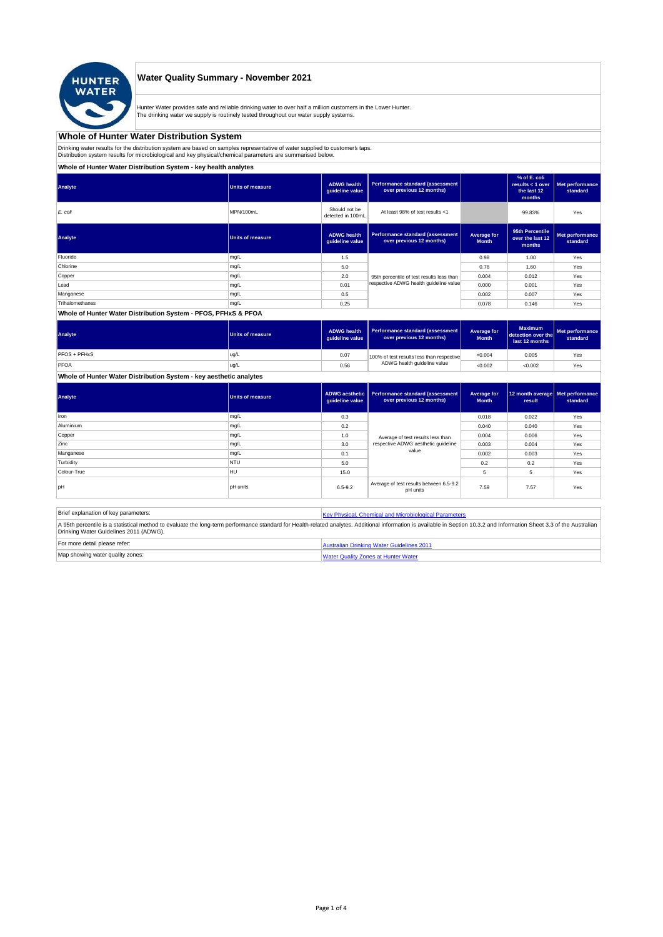

## **Water Quality Summary - November 2021**

Hunter Water provides safe and reliable drinking water to over half a million customers in the Lower Hunter. The drinking water we supply is routinely tested throughout our water supply systems.

# **Whole of Hunter Water Distribution System**

Drinking water results for the distribution system are based on samples representative of water supplied to customer' taps.<br>Distribution system results for microbiological and key physical/chemical parameters are summarise

# **Whole of Hunter Water Distribution System - key health analytes**

| Analyte         | <b>Units of measure</b> | <b>ADWG</b> health<br>guideline value | <b>Performance standard (assessment</b><br>over previous 12 months) |                             | % of E. coli<br>results $<$ 1 over<br>the last 12<br>months | Met performance<br>standard |
|-----------------|-------------------------|---------------------------------------|---------------------------------------------------------------------|-----------------------------|-------------------------------------------------------------|-----------------------------|
| E. coli         | MPN/100mL               | Should not be<br>detected in 100mL    | At least 98% of test results <1                                     |                             | 99.83%                                                      | Yes                         |
| Analyte         | <b>Units of measure</b> | <b>ADWG</b> health<br>guideline value | <b>Performance standard (assessment</b><br>over previous 12 months) | Average for<br><b>Month</b> | 95th Percentile<br>over the last 12<br>months               | Met performance<br>standard |
| Fluoride        | mg/L                    | 1.5                                   |                                                                     | 0.98                        | 1.00                                                        | Yes                         |
| Chlorine        | mg/L                    | 5.0                                   |                                                                     | 0.76                        | 1.60                                                        | Yes                         |
| Copper          | mg/L                    | 2.0                                   | 95th percentile of test results less than                           | 0.004                       | 0.012                                                       | Yes                         |
| Lead            | mg/L                    | 0.01                                  | respective ADWG health guideline value                              | 0.000                       | 0.001                                                       | Yes                         |
| Manganese       | mg/L                    | 0.5                                   |                                                                     | 0.002                       | 0.007                                                       | Yes                         |
| Trihalomethanes | mg/L                    | 0.25                                  |                                                                     | 0.078                       | 0.146                                                       | Yes                         |
|                 |                         |                                       |                                                                     |                             |                                                             |                             |

### **Whole of Hunter Water Distribution System - PFOS, PFHxS & PFOA**

| Analyte      | <b>Units of measure</b> | <b>ADWG health</b><br>quideline value | Performance standard (assessment<br>over previous 12 months) | Average for<br><b>Month</b> | <b>Maximum</b><br>detection over the<br>last 12 months | Met performance<br>standard |
|--------------|-------------------------|---------------------------------------|--------------------------------------------------------------|-----------------------------|--------------------------------------------------------|-----------------------------|
| PFOS + PFHxS | ug/L                    | 0.07                                  | 100% of test results less than respective                    | < 0.004                     | 0.005                                                  | Yes                         |
| PFOA         | ug/L                    | 0.56                                  | ADWG health guideline value                                  | < 0.002                     | < 0.002                                                | Yes                         |

# **Whole of Hunter Water Distribution System - key aesthetic analytes**

| Analyte     | <b>Units of measure</b> | guideline value | ADWG aesthetic   Performance standard (assessment<br>over previous 12 months) | Average for<br><b>Month</b> | 12 month average   Met performance<br>result | standard |
|-------------|-------------------------|-----------------|-------------------------------------------------------------------------------|-----------------------------|----------------------------------------------|----------|
| Iron        | mg/L                    | 0.3             |                                                                               | 0.018                       | 0.022                                        | Yes      |
| Aluminium   | mg/L                    | 0.2             |                                                                               | 0.040                       | 0.040                                        | Yes      |
| Copper      | mg/L                    | 1.0             | Average of test results less than                                             | 0.004                       | 0.006                                        | Yes      |
| Zinc        | mg/L                    | 3.0             | respective ADWG aesthetic quideline                                           | 0.003                       | 0.004                                        | Yes      |
| Manganese   | mg/L                    | 0.1             | value                                                                         | 0.002                       | 0.003                                        | Yes      |
| Turbidity   | <b>NTU</b>              | 5.0             |                                                                               | 0.2                         | 0.2                                          | Yes      |
| Colour-True | <b>HU</b>               | 15.0            |                                                                               | 5                           | 5                                            | Yes      |
| pH          | <b>pH</b> units         | $6.5 - 9.2$     | Average of test results between 6.5-9.2<br>pH units                           | 7.59                        | 7.57                                         | Yes      |

| Brief explanation of key parameters:   | Key Physical, Chemical and Microbiological Parameters                                                                                                                                                                   |
|----------------------------------------|-------------------------------------------------------------------------------------------------------------------------------------------------------------------------------------------------------------------------|
| Drinking Water Guidelines 2011 (ADWG). | A 95th percentile is a statistical method to evaluate the long-term performance standard for Health-related analytes. Additional information is available in Section 10.3.2 and Information Sheet 3.3 of the Australian |
| For more detail please refer:          | Australian Drinking Water Guidelines 2011                                                                                                                                                                               |
| Map showing water quality zones:       | <b>Water Quality Zones at Hunter Water</b>                                                                                                                                                                              |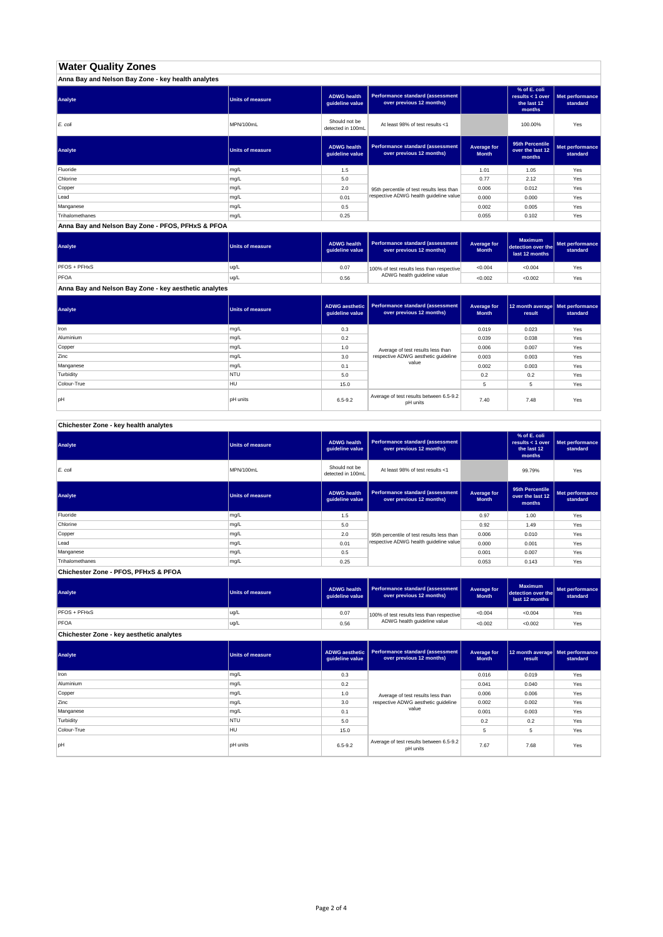# **Water Quality Zones**

| Anna Bay and Nelson Bay Zone - key health analytes |                  |                                       |                                                                     |                             |                                                           |                             |
|----------------------------------------------------|------------------|---------------------------------------|---------------------------------------------------------------------|-----------------------------|-----------------------------------------------------------|-----------------------------|
| Analyte                                            | Units of measure | <b>ADWG health</b><br>guideline value | <b>Performance standard (assessment</b><br>over previous 12 months) |                             | % of E. coli<br>results < 1 over<br>the last 12<br>months | Met performance<br>standard |
| E. coli                                            | MPN/100mL        | Should not be<br>detected in 100mL    | At least 98% of test results <1                                     |                             | 100.00%                                                   | Yes                         |
| Analyte                                            | Units of measure | <b>ADWG health</b><br>guideline value | <b>Performance standard (assessment</b><br>over previous 12 months) | Average for<br><b>Month</b> | 95th Percentile<br>over the last 12<br>months             | Met performance<br>standard |
| Fluoride                                           | mg/L             | 1.5                                   |                                                                     | 1.01                        | 1.05                                                      | Yes                         |
| Chlorine                                           | mg/L             | 5.0                                   |                                                                     | 0.77                        | 2.12                                                      | Yes                         |
| Copper                                             | mg/L             | 2.0                                   | 95th percentile of test results less than                           | 0.006                       | 0.012                                                     | Yes                         |
| Lead                                               | mg/L             | 0.01                                  | respective ADWG health guideline value                              | 0.000                       | 0.000                                                     | Yes                         |
| Manganese                                          | mg/L             | 0.5                                   |                                                                     | 0.002                       | 0.005                                                     | Yes                         |
| Trihalomethanes                                    | mg/L             | 0.25                                  |                                                                     | 0.055                       | 0.102                                                     | Yes                         |

**Anna Bay and Nelson Bay Zone - PFOS, PFHxS & PFOA**

| Analyte      | Units of measure | <b>ADWG health</b><br>quideline value | Performance standard (assessment<br>over previous 12 months) | <b>Average for</b><br><b>Month</b> | <b>Maximum</b><br>detection over the<br>last 12 months | Met performance<br>standard |
|--------------|------------------|---------------------------------------|--------------------------------------------------------------|------------------------------------|--------------------------------------------------------|-----------------------------|
| PFOS + PFHxS | ug/L             | 0.07                                  | 100% of test results less than respective                    | < 0.004                            | < 0.004                                                | Yes                         |
| PFOA         | ug/L             | 0.56                                  | ADWG health guideline value                                  | < 0.002                            | < 0.002                                                | Yes                         |

**Anna Bay and Nelson Bay Zone - key aesthetic analytes**

| Analyte     | Units of measure | guideline value | ADWG aesthetic   Performance standard (assessment<br>over previous 12 months) | Average for<br><b>Month</b> | 12 month average   Met performance<br>result | standard |
|-------------|------------------|-----------------|-------------------------------------------------------------------------------|-----------------------------|----------------------------------------------|----------|
| Iron        | mg/L             | 0.3             |                                                                               | 0.019                       | 0.023                                        | Yes      |
| Aluminium   | mg/L             | 0.2             |                                                                               | 0.039                       | 0.038                                        | Yes      |
| Copper      | mg/L             | 1.0             | Average of test results less than                                             | 0.006                       | 0.007                                        | Yes      |
| Zinc        | mg/L             | 3.0             | respective ADWG aesthetic quideline                                           | 0.003                       | 0.003                                        | Yes      |
| Manganese   | mg/L             | 0.1             | value                                                                         | 0.002                       | 0.003                                        | Yes      |
| Turbidity   | <b>NTU</b>       | 5.0             |                                                                               | 0.2                         | 0.2                                          | Yes      |
| Colour-True | <b>HU</b>        | 15.0            |                                                                               |                             | 5                                            | Yes      |
| pH          | <b>pH</b> units  | $6.5 - 9.2$     | Average of test results between 6.5-9.2<br>pH units                           | 7.40                        | 7.48                                         | Yes      |

**Chichester Zone - key health analytes**

| Analyte         | <b>Units of measure</b> | <b>ADWG health</b><br>guideline value | Performance standard (assessment<br>over previous 12 months) |                             | % of E. coli<br>results $<$ 1 over<br>the last 12<br>months | Met performance<br>standard |
|-----------------|-------------------------|---------------------------------------|--------------------------------------------------------------|-----------------------------|-------------------------------------------------------------|-----------------------------|
| E. coli         | MPN/100mL               | Should not be<br>detected in 100mL    | At least 98% of test results <1                              |                             | 99.79%                                                      | Yes                         |
| Analyte         | Units of measure        | <b>ADWG health</b><br>guideline value | Performance standard (assessment<br>over previous 12 months) | Average for<br><b>Month</b> | 95th Percentile<br>over the last 12<br>months               | Met performance<br>standard |
| Fluoride        | mg/L                    | 1.5                                   |                                                              | 0.97                        | 1.00                                                        | Yes                         |
| Chlorine        | mg/L                    | 5.0                                   |                                                              | 0.92                        | 1.49                                                        | Yes                         |
| Copper          | mg/L                    | 2.0                                   | 95th percentile of test results less than                    | 0.006                       | 0.010                                                       | Yes                         |
| Lead            | mg/L                    | 0.01                                  | respective ADWG health quideline value                       | 0.000                       | 0.001                                                       | Yes                         |
| Manganese       | mg/L                    | 0.5                                   |                                                              | 0.001                       | 0.007                                                       | Yes                         |
| Trihalomethanes | mg/L                    | 0.25                                  |                                                              | 0.053                       | 0.143                                                       | Yes                         |

**Chichester Zone - PFOS, PFHxS & PFOA**

| Analyte      | Units of measure | <b>ADWG health</b><br>guideline value | Performance standard (assessment<br>over previous 12 months) | Average for<br><b>Month</b> | <b>Maximum</b><br>detection over the<br>last 12 months | Met performance<br>standard |
|--------------|------------------|---------------------------------------|--------------------------------------------------------------|-----------------------------|--------------------------------------------------------|-----------------------------|
| PFOS + PFHxS | ug/L             | 0.07                                  | 100% of test results less than respective                    | < 0.004                     | < 0.004                                                | Yes                         |
| PFOA         | ug/L             | 0.56                                  | ADWG health guideline value                                  | < 0.002                     | < 0.002                                                | Yes                         |

**Chichester Zone - key aesthetic analytes**

| Analyte     | Units of measure | guideline value | ADWG aesthetic   Performance standard (assessment<br>over previous 12 months) | Average for<br><b>Month</b> | 12 month average   Met performance<br>result | standard |
|-------------|------------------|-----------------|-------------------------------------------------------------------------------|-----------------------------|----------------------------------------------|----------|
| Iron        | mg/L             | 0.3             |                                                                               | 0.016                       | 0.019                                        | Yes      |
| Aluminium   | mg/L             | 0.2             |                                                                               | 0.041                       | 0.040                                        | Yes      |
| Copper      | mg/L             | 1.0             | Average of test results less than                                             | 0.006                       | 0.006                                        | Yes      |
| Zinc        | mg/L             | 3.0             | respective ADWG aesthetic quideline                                           | 0.002                       | 0.002                                        | Yes      |
| Manganese   | mg/L             | 0.1             | value                                                                         | 0.001                       | 0.003                                        | Yes      |
| Turbidity   | <b>NTU</b>       | 5.0             |                                                                               | 0.2                         | 0.2                                          | Yes      |
| Colour-True | <b>HU</b>        | 15.0            |                                                                               | 5                           | 5                                            | Yes      |
| <b>bH</b>   | <b>DH</b> units  | $6.5 - 9.2$     | Average of test results between 6.5-9.2<br>pH units                           | 7.67                        | 7.68                                         | Yes      |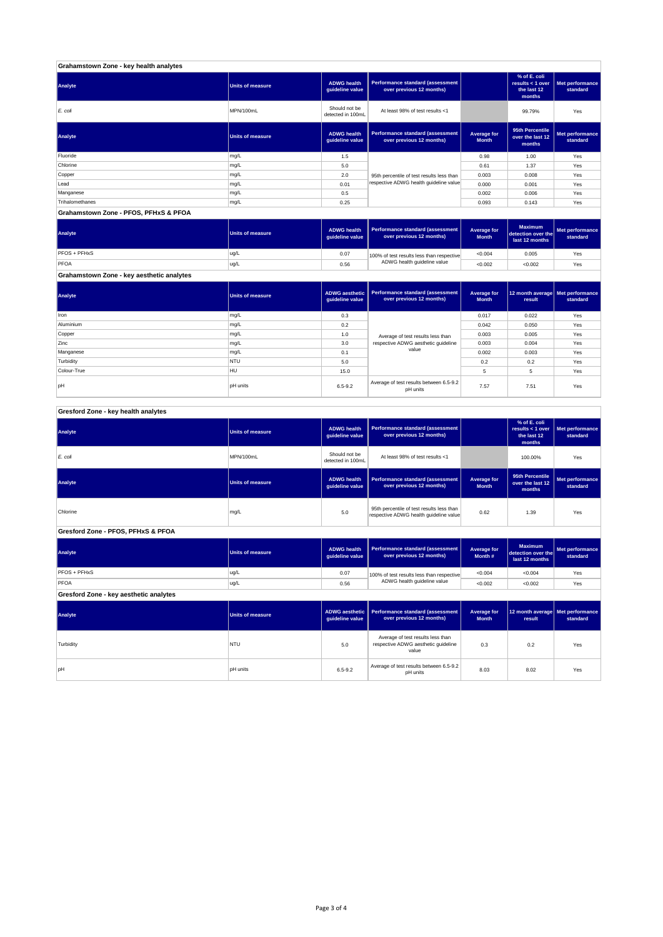| Grahamstown Zone - key health analytes |                         |                                       |                                                              |                             |                                                             |                             |
|----------------------------------------|-------------------------|---------------------------------------|--------------------------------------------------------------|-----------------------------|-------------------------------------------------------------|-----------------------------|
| Analyte                                | Units of measure        | <b>ADWG</b> health<br>guideline value | Performance standard (assessment<br>over previous 12 months) |                             | % of E. coli<br>results $<$ 1 over<br>the last 12<br>months | Met performance<br>standard |
| E. coli                                | MPN/100mL               | Should not be<br>detected in 100mL    | At least 98% of test results <1                              |                             | 99.79%                                                      | Yes                         |
| Analyte                                | <b>Units of measure</b> | <b>ADWG</b> health<br>quideline value | Performance standard (assessment<br>over previous 12 months) | Average for<br><b>Month</b> | 95th Percentile<br>over the last 12<br>months               | Met performance<br>standard |
| Fluoride                               | mg/L                    | 1.5                                   |                                                              | 0.98                        | 1.00                                                        | Yes                         |
| Chlorine                               | mg/L                    | 5.0                                   |                                                              | 0.61                        | 1.37                                                        | Yes                         |
| Copper                                 | mg/L                    | 2.0                                   | 95th percentile of test results less than                    | 0.003                       | 0.008                                                       | Yes                         |
| Lead                                   | mg/L                    | 0.01                                  | respective ADWG health guideline value                       | 0.000                       | 0.001                                                       | Yes                         |
| Manganese                              | mg/L                    | 0.5                                   |                                                              | 0.002                       | 0.006                                                       | Yes                         |
| Trihalomethanes                        | mg/L                    | 0.25                                  |                                                              | 0.093                       | 0.143                                                       | Yes                         |
| Grahamstown Zone - PFOS, PFHxS & PFOA  |                         |                                       |                                                              |                             |                                                             |                             |

#### **ADWG health guideline value Average for Month Maximum detection over the last 12 months Met performance standard** 0.07 100% of test results less than respective  $\sim 0.004$  0.005  $\sim$  Yes 0.56 <0.002 <0.002 Yes PFOS + PFHxS ug/L PFOA ug/L 100% of test results less than respective ADWG health guideline value **Analyte Performance standard (assessment <b>Performance standard (assessment Performance standard (assessment Performance standard (assessment Performance standard (assessment**

**Grahamstown Zone - key aesthetic analytes**

| Analyte     | <b>Units of measure</b> | quideline value | ADWG aesthetic   Performance standard (assessment  <br>over previous 12 months) | Average for<br><b>Month</b> | 12 month average   Met performance<br>result | standard |
|-------------|-------------------------|-----------------|---------------------------------------------------------------------------------|-----------------------------|----------------------------------------------|----------|
| Iron        | mg/L                    | 0.3             |                                                                                 | 0.017                       | 0.022                                        | Yes      |
| Aluminium   | mg/L                    | 0.2             |                                                                                 | 0.042                       | 0.050                                        | Yes      |
| Copper      | mg/L                    | 1.0             | Average of test results less than                                               | 0.003                       | 0.005                                        | Yes      |
| Zinc        | mg/L                    | 3.0             | respective ADWG aesthetic guideline                                             | 0.003                       | 0.004                                        | Yes      |
| Manganese   | mg/L                    | 0.1             | value                                                                           | 0.002                       | 0.003                                        | Yes      |
| Turbidity   | <b>NTU</b>              | 5.0             |                                                                                 | 0.2                         | 0.2                                          | Yes      |
| Colour-True | HU                      | 15.0            |                                                                                 | 5                           | 5                                            | Yes      |
| pH          | <b>pH</b> units         | $6.5 - 9.2$     | Average of test results between 6.5-9.2<br>pH units                             | 7.57                        | 7.51                                         | Yes      |

### **ADWG health guideline value % of E. coli results < 1 over the last 12 months Met performance standard** Should not be<br>detected in 100ml detected in 100mL 100.00% Yes *E. coli* MPN/100mL At least 98% of test results <1 **ADWG health guideline value Average for Month 95th Percentile over the last 12 months Met performance standard** mg/L 95.0 percentile of test results less than percentile of test respective ADWG health guideline value of the metalline of the metalline value of the metalline value of the metalline value of the metalline value of the m **ADWG health guideline value Average for Month # Maximum detection over the last 12 months Met performance standard** 0.07 100% of test results less than respective  $\sim 0.004$   $\sim 0.004$  Yes 0.56 <0.002 <0.002 Yes **ADWG aesthetic guideline value Average for Month 12 month average result Met performance standard** 5.0 0.3 0.2 Yes Average of test results less than respective ADWG aesthetic guideline pH units 6.5-9.2 Average of test results between 6.5-9.2 8.03 8.02 Yes<br>Average of test results between 6.5-9.2 8.03 8.02 Yes **Gresford Zone - key aesthetic analytes Analyte Performance standard (assessment Performance standard (assessment Performance standard (assessment Performance standard (assessment performance standard (assessment**) **Turbidity** NTU value **PFOS + PFHxS** ug/L PFOA ug/L 100% of test results less than respective ADWG health guideline value **Gresford Zone - PFOS, PFHxS & PFOA Analyte Performance standard (assessment <b>Performance standard (assessment Performance standard (assessment Performance standard (assessment performance standard (assessment Analyte Performance standard (assessment <b>Performance standard (assessment Performance standard (assessment Performance standard (assessment Performance standard (assessment Gresford Zone - key health analytes Analyte Performance standard (assessment Performance standard (assessment Performance standard (assessment Performance standard (assessment performance standard (assessment**